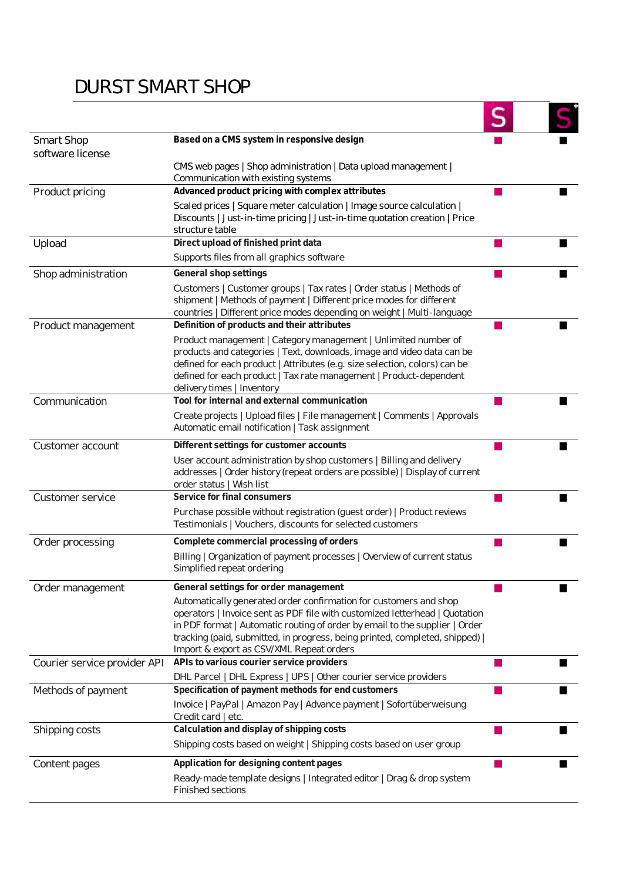## DURST SMART SHOP

| Smart Shop<br>software license | Based on a CMS system in responsive design                                                                                                                                                                                                                                                                                                                |  |
|--------------------------------|-----------------------------------------------------------------------------------------------------------------------------------------------------------------------------------------------------------------------------------------------------------------------------------------------------------------------------------------------------------|--|
|                                | CMS web pages   Shop administration   Data upload management                                                                                                                                                                                                                                                                                              |  |
|                                | Communication with existing systems                                                                                                                                                                                                                                                                                                                       |  |
| Product pricing                | Advanced product pricing with complex attributes                                                                                                                                                                                                                                                                                                          |  |
|                                | Scaled prices   Square meter calculation   Image source calculation  <br>Discounts   Just-in-time pricing   Just-in-time quotation creation   Price<br>structure table                                                                                                                                                                                    |  |
| Upload                         | Direct upload of finished print data                                                                                                                                                                                                                                                                                                                      |  |
|                                | Supports files from all graphics software                                                                                                                                                                                                                                                                                                                 |  |
| Shop administration            | General shop settings                                                                                                                                                                                                                                                                                                                                     |  |
|                                | Customers   Customer groups   Tax rates   Order status   Methods of<br>shipment   Methods of payment   Different price modes for different<br>countries   Different price modes depending on weight   Multi-language                                                                                                                                      |  |
| Product management             | Definition of products and their attributes                                                                                                                                                                                                                                                                                                               |  |
|                                | Product management   Category management   Unlimited number of<br>products and categories   Text, downloads, image and video data can be<br>defined for each product   Attributes (e.g. size selection, colors) can be<br>defined for each product   Tax rate management   Product-dependent<br>delivery times   Inventory                                |  |
| Communication                  | Tool for internal and external communication                                                                                                                                                                                                                                                                                                              |  |
|                                | Create projects   Upload files   File management   Comments   Approvals<br>Automatic email notification   Task assignment                                                                                                                                                                                                                                 |  |
| Customer account               | Different settings for customer accounts                                                                                                                                                                                                                                                                                                                  |  |
|                                | User account administration by shop customers   Billing and delivery<br>addresses   Order history (repeat orders are possible)   Display of current<br>order status   Wish list                                                                                                                                                                           |  |
| Customer service               | Service for final consumers                                                                                                                                                                                                                                                                                                                               |  |
|                                | Purchase possible without registration (guest order)   Product reviews<br>Testimonials   Vouchers, discounts for selected customers                                                                                                                                                                                                                       |  |
| Order processing               | Complete commercial processing of orders                                                                                                                                                                                                                                                                                                                  |  |
|                                | Billing   Organization of payment processes   Overview of current status<br>Simplified repeat ordering                                                                                                                                                                                                                                                    |  |
| Order management               | General settings for order management                                                                                                                                                                                                                                                                                                                     |  |
|                                | Automatically generated order confirmation for customers and shop<br>operators   Invoice sent as PDF file with customized letterhead   Quotation<br>in PDF format   Automatic routing of order by email to the supplier   Order<br>tracking (paid, submitted, in progress, being printed, completed, shipped)<br>Import & export as CSV/XML Repeat orders |  |
| Courier service provider API   | APIs to various courier service providers                                                                                                                                                                                                                                                                                                                 |  |
|                                | DHL Parcel   DHL Express   UPS   Other courier service providers                                                                                                                                                                                                                                                                                          |  |
| Methods of payment             | Specification of payment methods for end customers                                                                                                                                                                                                                                                                                                        |  |
|                                | Invoice   PayPal   Amazon Pay   Advance payment   Sofortüberweisung<br>Credit card   etc.                                                                                                                                                                                                                                                                 |  |
| Shipping costs                 | Calculation and display of shipping costs                                                                                                                                                                                                                                                                                                                 |  |
|                                | Shipping costs based on weight   Shipping costs based on user group                                                                                                                                                                                                                                                                                       |  |
| Content pages                  | Application for designing content pages                                                                                                                                                                                                                                                                                                                   |  |
|                                | Ready-made template designs   Integrated editor   Drag & drop system<br>Finished sections                                                                                                                                                                                                                                                                 |  |

**Contract** 

∽